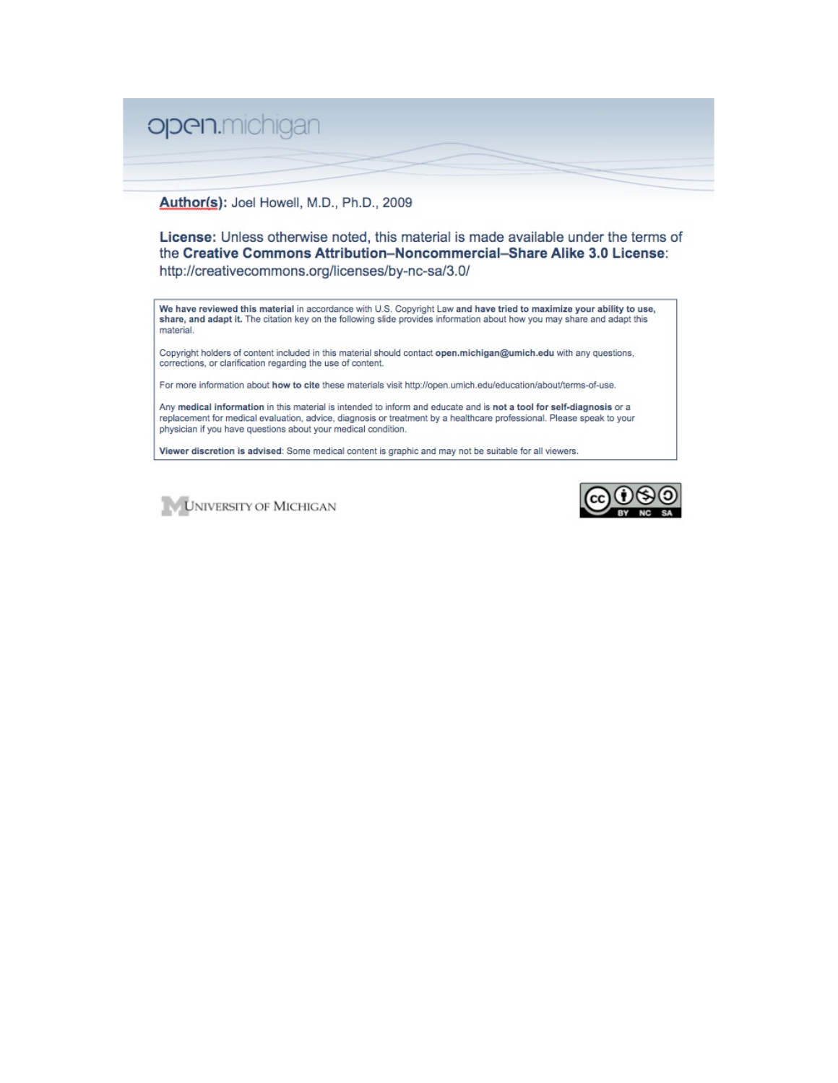# open.michigan

#### Author(s): Joel Howell, M.D., Ph.D., 2009

License: Unless otherwise noted, this material is made available under the terms of the Creative Commons Attribution-Noncommercial-Share Alike 3.0 License: http://creativecommons.org/licenses/by-nc-sa/3.0/

We have reviewed this material in accordance with U.S. Copyright Law and have tried to maximize your ability to use, share, and adapt it. The citation key on the following slide provides information about how you may share and adapt this material.

Copyright holders of content included in this material should contact open.michigan@umich.edu with any questions, corrections, or clarification regarding the use of content.

For more information about how to cite these materials visit http://open.umich.edu/education/about/terms-of-use.

Any medical information in this material is intended to inform and educate and is not a tool for self-diagnosis or a replacement for medical evaluation, advice, diagnosis or treatment by a healthcare professional. Please speak to your physician if you have questions about your medical condition.

Viewer discretion is advised: Some medical content is graphic and may not be suitable for all viewers.